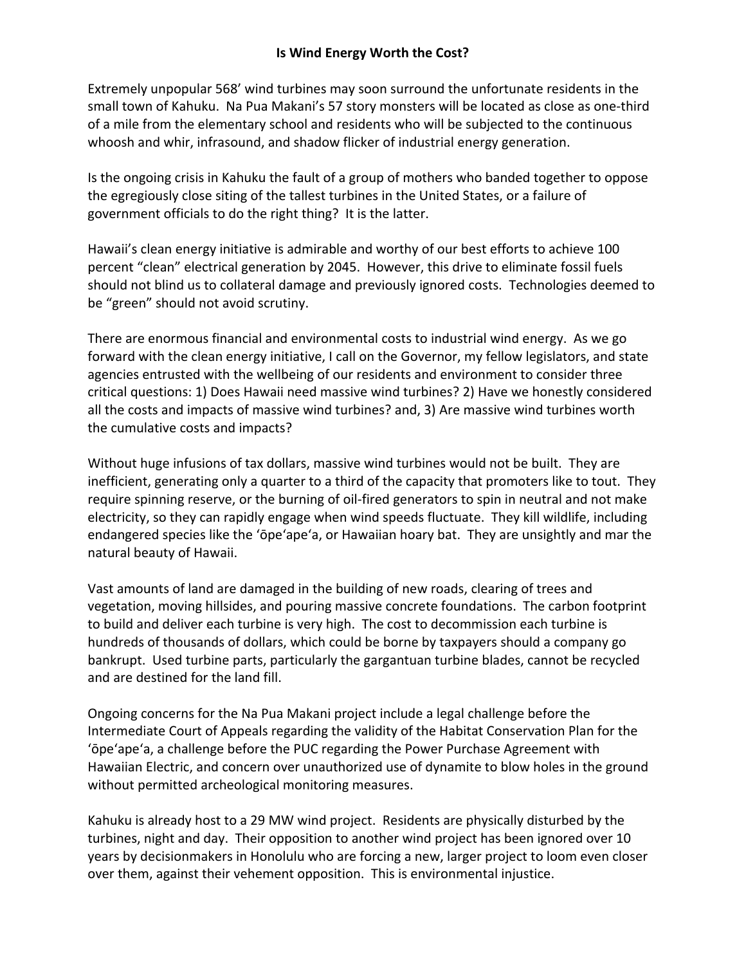## **Is Wind Energy Worth the Cost?**

Extremely unpopular 568' wind turbines may soon surround the unfortunate residents in the small town of Kahuku. Na Pua Makani's 57 story monsters will be located as close as one-third of a mile from the elementary school and residents who will be subjected to the continuous whoosh and whir, infrasound, and shadow flicker of industrial energy generation.

Is the ongoing crisis in Kahuku the fault of a group of mothers who banded together to oppose the egregiously close siting of the tallest turbines in the United States, or a failure of government officials to do the right thing? It is the latter.

Hawaii's clean energy initiative is admirable and worthy of our best efforts to achieve 100 percent "clean" electrical generation by 2045. However, this drive to eliminate fossil fuels should not blind us to collateral damage and previously ignored costs. Technologies deemed to be "green" should not avoid scrutiny.

There are enormous financial and environmental costs to industrial wind energy. As we go forward with the clean energy initiative, I call on the Governor, my fellow legislators, and state agencies entrusted with the wellbeing of our residents and environment to consider three critical questions: 1) Does Hawaii need massive wind turbines? 2) Have we honestly considered all the costs and impacts of massive wind turbines? and, 3) Are massive wind turbines worth the cumulative costs and impacts?

Without huge infusions of tax dollars, massive wind turbines would not be built. They are inefficient, generating only a quarter to a third of the capacity that promoters like to tout. They require spinning reserve, or the burning of oil‐fired generators to spin in neutral and not make electricity, so they can rapidly engage when wind speeds fluctuate. They kill wildlife, including endangered species like the ʻōpeʻapeʻa, or Hawaiian hoary bat. They are unsightly and mar the natural beauty of Hawaii.

Vast amounts of land are damaged in the building of new roads, clearing of trees and vegetation, moving hillsides, and pouring massive concrete foundations. The carbon footprint to build and deliver each turbine is very high. The cost to decommission each turbine is hundreds of thousands of dollars, which could be borne by taxpayers should a company go bankrupt. Used turbine parts, particularly the gargantuan turbine blades, cannot be recycled and are destined for the land fill.

Ongoing concerns for the Na Pua Makani project include a legal challenge before the Intermediate Court of Appeals regarding the validity of the Habitat Conservation Plan for the ʻōpeʻapeʻa, a challenge before the PUC regarding the Power Purchase Agreement with Hawaiian Electric, and concern over unauthorized use of dynamite to blow holes in the ground without permitted archeological monitoring measures.

Kahuku is already host to a 29 MW wind project. Residents are physically disturbed by the turbines, night and day. Their opposition to another wind project has been ignored over 10 years by decisionmakers in Honolulu who are forcing a new, larger project to loom even closer over them, against their vehement opposition. This is environmental injustice.